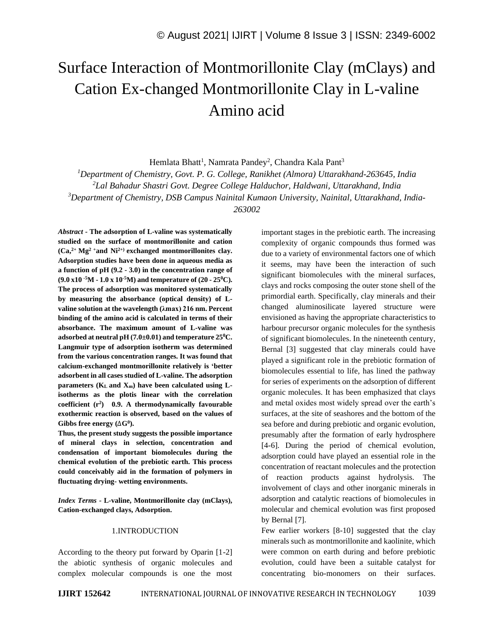# Surface Interaction of Montmorillonite Clay (mClays) and Cation Ex-changed Montmorillonite Clay in L-valine Amino acid

Hemlata Bhatt<sup>1</sup>, Namrata Pandey<sup>2</sup>, Chandra Kala Pant<sup>3</sup>

*<sup>1</sup>Department of Chemistry, Govt. P. G. College, Ranikhet (Almora) Uttarakhand-263645, India*

*<sup>2</sup>Lal Bahadur Shastri Govt. Degree College Halduchor, Haldwani, Uttarakhand, India*

*<sup>3</sup>Department of Chemistry, DSB Campus Nainital Kumaon University, Nainital, Uttarakhand, India-*

*263002*

*Abstract -* **The adsorption of L-valine was systematically studied on the surface of montmorillonite and cation (Ca, 2+ Mg<sup>2</sup> <sup>+</sup>and Ni2+) exchanged montmorillonites clay. Adsorption studies have been done in aqueous media as a function of pH (9.2 - 3.0) in the concentration range of (9.0 x10 -5M - 1.0 x 10-5M) and temperature of (20 - 25<sup>0</sup>C). The process of adsorption was monitored systematically by measuring the absorbance (optical density) of Lvaline solution at the wavelength (λmax) 216 nm. Percent binding of the amino acid is calculated in terms of their absorbance. The maximum amount of L-valine was adsorbed at neutral pH (7.0±0.01) and temperature 25<sup>0</sup>C. Langmuir type of adsorption isotherm was determined from the various concentration ranges. It was found that calcium-exchanged montmorillonite relatively is 'better adsorbent in all cases studied of L-valine. The adsorption parameters (K<sup>L</sup> and Xm) have been calculated using Lisotherms as the plotis linear with the correlation coefficient (r<sup>2</sup> ) 0.9. A thermodynamically favourable exothermic reaction is observed, based on the values of Gibbs free energy (**∆**G<sup>0</sup> ).**

**Thus, the present study suggests the possible importance of mineral clays in selection, concentration and condensation of important biomolecules during the chemical evolution of the prebiotic earth. This process could conceivably aid in the formation of polymers in fluctuating drying- wetting environments.**

*Index Terms -* **L-valine, Montmorillonite clay (mClays), Cation-exchanged clays, Adsorption.**

## 1.INTRODUCTION

According to the theory put forward by Oparin [1-2] the abiotic synthesis of organic molecules and complex molecular compounds is one the most important stages in the prebiotic earth. The increasing complexity of organic compounds thus formed was due to a variety of environmental factors one of which it seems, may have been the interaction of such significant biomolecules with the mineral surfaces, clays and rocks composing the outer stone shell of the primordial earth. Specifically, clay minerals and their changed aluminosilicate layered structure were envisioned as having the appropriate characteristics to harbour precursor organic molecules for the synthesis of significant biomolecules. In the nineteenth century, Bernal [3] suggested that clay minerals could have played a significant role in the prebiotic formation of biomolecules essential to life, has lined the pathway for series of experiments on the adsorption of different organic molecules. It has been emphasized that clays and metal oxides most widely spread over the earth's surfaces, at the site of seashores and the bottom of the sea before and during prebiotic and organic evolution, presumably after the formation of early hydrosphere [4-6]. During the period of chemical evolution, adsorption could have played an essential role in the concentration of reactant molecules and the protection of reaction products against hydrolysis. The involvement of clays and other inorganic minerals in adsorption and catalytic reactions of biomolecules in molecular and chemical evolution was first proposed by Bernal [7].

Few earlier workers [8-10] suggested that the clay minerals such as montmorillonite and kaolinite, which were common on earth during and before prebiotic evolution, could have been a suitable catalyst for concentrating bio-monomers on their surfaces.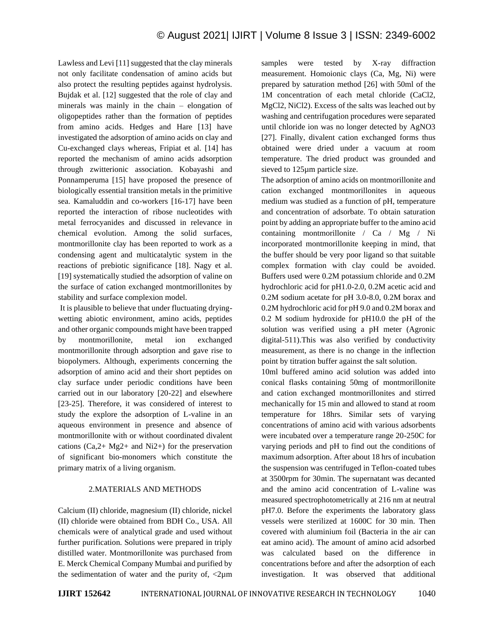Lawless and Levi [11] suggested that the clay minerals not only facilitate condensation of amino acids but also protect the resulting peptides against hydrolysis. Bujdak et al. [12] suggested that the role of clay and minerals was mainly in the chain – elongation of oligopeptides rather than the formation of peptides from amino acids. Hedges and Hare [13] have investigated the adsorption of amino acids on clay and Cu-exchanged clays whereas, Fripiat et al. [14] has reported the mechanism of amino acids adsorption through zwitterionic association. Kobayashi and Ponnamperuma [15] have proposed the presence of biologically essential transition metals in the primitive sea. Kamaluddin and co-workers [16-17] have been reported the interaction of ribose nucleotides with metal ferrocyanides and discussed in relevance in chemical evolution. Among the solid surfaces, montmorillonite clay has been reported to work as a condensing agent and multicatalytic system in the reactions of prebiotic significance [18]. Nagy et al. [19] systematically studied the adsorption of valine on the surface of cation exchanged montmorillonites by stability and surface complexion model.

It is plausible to believe that under fluctuating dryingwetting abiotic environment, amino acids, peptides and other organic compounds might have been trapped by montmorillonite, metal ion exchanged montmorillonite through adsorption and gave rise to biopolymers. Although, experiments concerning the adsorption of amino acid and their short peptides on clay surface under periodic conditions have been carried out in our laboratory [20-22] and elsewhere [23-25]. Therefore, it was considered of interest to study the explore the adsorption of L-valine in an aqueous environment in presence and absence of montmorillonite with or without coordinated divalent cations  $(Ca, 2+ Mg2+ and Ni2+)$  for the preservation of significant bio-monomers which constitute the primary matrix of a living organism.

# 2.MATERIALS AND METHODS

Calcium (II) chloride, magnesium (II) chloride, nickel (II) chloride were obtained from BDH Co., USA. All chemicals were of analytical grade and used without further purification. Solutions were prepared in triply distilled water. Montmorillonite was purchased from E. Merck Chemical Company Mumbai and purified by the sedimentation of water and the purity of,  $\langle 2\mu m$  samples were tested by X-ray diffraction measurement. Homoionic clays (Ca, Mg, Ni) were prepared by saturation method [26] with 50ml of the 1M concentration of each metal chloride (CaCl2, MgCl2, NiCl2). Excess of the salts was leached out by washing and centrifugation procedures were separated until chloride ion was no longer detected by AgNO3 [27]. Finally, divalent cation exchanged forms thus obtained were dried under a vacuum at room temperature. The dried product was grounded and sieved to 125µm particle size.

The adsorption of amino acids on montmorillonite and cation exchanged montmorillonites in aqueous medium was studied as a function of pH, temperature and concentration of adsorbate. To obtain saturation point by adding an appropriate buffer to the amino acid containing montmorillonite / Ca / Mg / Ni incorporated montmorillonite keeping in mind, that the buffer should be very poor ligand so that suitable complex formation with clay could be avoided. Buffers used were 0.2M potassium chloride and 0.2M hydrochloric acid for pH1.0-2.0, 0.2M acetic acid and 0.2M sodium acetate for pH 3.0-8.0, 0.2M borax and 0.2M hydrochloric acid for pH 9.0 and 0.2M borax and 0.2 M sodium hydroxide for pH10.0 the pH of the solution was verified using a pH meter (Agronic digital-511).This was also verified by conductivity measurement, as there is no change in the inflection point by titration buffer against the salt solution.

10ml buffered amino acid solution was added into conical flasks containing 50mg of montmorillonite and cation exchanged montmorillonites and stirred mechanically for 15 min and allowed to stand at room temperature for 18hrs. Similar sets of varying concentrations of amino acid with various adsorbents were incubated over a temperature range 20-250C for varying periods and pH to find out the conditions of maximum adsorption. After about 18 hrs of incubation the suspension was centrifuged in Teflon-coated tubes at 3500rpm for 30min. The supernatant was decanted and the amino acid concentration of L-valine was measured spectrophotometrically at 216 nm at neutral pH7.0. Before the experiments the laboratory glass vessels were sterilized at 1600C for 30 min. Then covered with aluminium foil (Bacteria in the air can eat amino acid). The amount of amino acid adsorbed was calculated based on the difference in concentrations before and after the adsorption of each investigation. It was observed that additional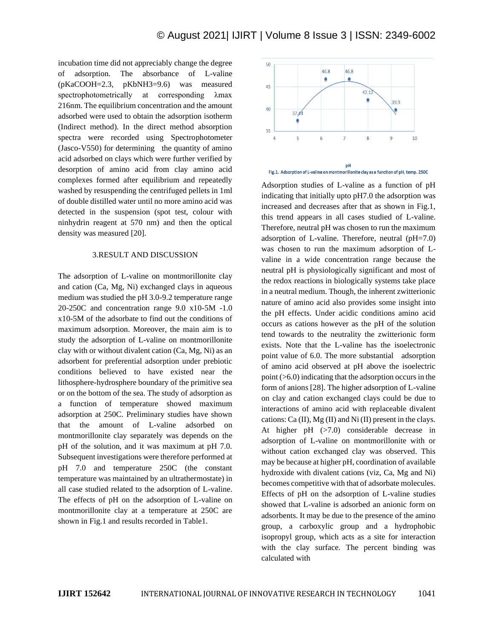incubation time did not appreciably change the degree of adsorption. The absorbance of L-valine (pKaCOOH=2.3, pKbNH3=9.6) was measured spectrophotometrically at corresponding λmax 216nm. The equilibrium concentration and the amount adsorbed were used to obtain the adsorption isotherm (Indirect method). In the direct method absorption spectra were recorded using Spectrophotometer (Jasco-V550) for determining the quantity of amino acid adsorbed on clays which were further verified by desorption of amino acid from clay amino acid complexes formed after equilibrium and repeatedly washed by resuspending the centrifuged pellets in 1ml of double distilled water until no more amino acid was detected in the suspension (spot test, colour with ninhydrin reagent at 570 nm) and then the optical density was measured [20].

#### 3.RESULT AND DISCUSSION

The adsorption of L-valine on montmorillonite clay and cation (Ca, Mg, Ni) exchanged clays in aqueous medium was studied the pH 3.0-9.2 temperature range 20-250C and concentration range 9.0 x10-5M -1.0 x10-5M of the adsorbate to find out the conditions of maximum adsorption. Moreover, the main aim is to study the adsorption of L-valine on montmorillonite clay with or without divalent cation (Ca, Mg, Ni) as an adsorbent for preferential adsorption under prebiotic conditions believed to have existed near the lithosphere-hydrosphere boundary of the primitive sea or on the bottom of the sea. The study of adsorption as a function of temperature showed maximum adsorption at 250C. Preliminary studies have shown that the amount of L-valine adsorbed on montmorillonite clay separately was depends on the pH of the solution, and it was maximum at pH 7.0. Subsequent investigations were therefore performed at pH 7.0 and temperature 250C (the constant temperature was maintained by an ultrathermostate) in all case studied related to the adsorption of L-valine. The effects of pH on the adsorption of L-valine on montmorillonite clay at a temperature at 250C are shown in Fig.1 and results recorded in Table1.



Adsorption studies of L-valine as a function of pH indicating that initially upto pH7.0 the adsorption was increased and decreases after that as shown in Fig.1, this trend appears in all cases studied of L-valine. Therefore, neutral pH was chosen to run the maximum adsorption of L-valine. Therefore, neutral  $(pH=7.0)$ was chosen to run the maximum adsorption of Lvaline in a wide concentration range because the neutral pH is physiologically significant and most of the redox reactions in biologically systems take place in a neutral medium. Though, the inherent zwitterionic nature of amino acid also provides some insight into the pH effects. Under acidic conditions amino acid occurs as cations however as the pH of the solution tend towards to the neutrality the zwitterionic form exists. Note that the L-valine has the isoelectronic point value of 6.0. The more substantial adsorption of amino acid observed at pH above the isoelectric point (>6.0) indicating that the adsorption occurs in the form of anions [28]. The higher adsorption of L-valine on clay and cation exchanged clays could be due to interactions of amino acid with replaceable divalent cations: Ca  $(II)$ , Mg  $(II)$  and Ni  $(II)$  present in the clays. At higher pH (>7.0) considerable decrease in adsorption of L-valine on montmorillonite with or without cation exchanged clay was observed. This may be because at higher pH, coordination of available hydroxide with divalent cations (viz, Ca, Mg and Ni) becomes competitive with that of adsorbate molecules. Effects of pH on the adsorption of L-valine studies showed that L-valine is adsorbed an anionic form on adsorbents. It may be due to the presence of the amino group, a carboxylic group and a hydrophobic isopropyl group, which acts as a site for interaction with the clay surface. The percent binding was calculated with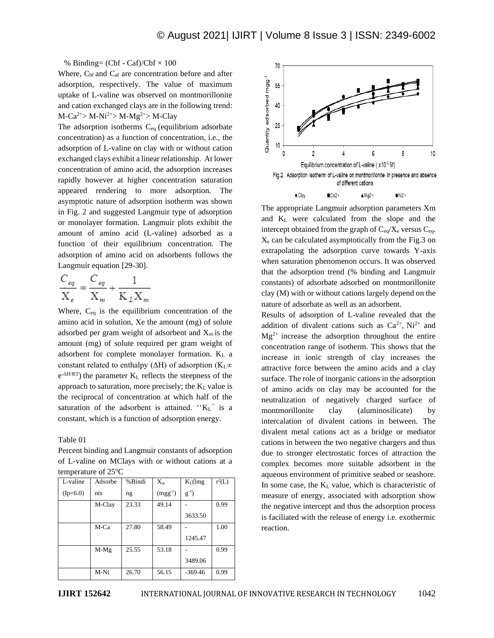% Binding=  $(Cbf - Caf)/Cbf \times 100$ 

Where,  $C_{\text{bf}}$  and  $C_{\text{af}}$  are concentration before and after adsorption, respectively. The value of maximum uptake of L-valine was observed on montmorillonite and cation exchanged clays are in the following trend:  $M-Ca^{2+} > M-Ni^{2+} > M-Mg^{2+} > M-Clay$ 

The adsorption isotherms  $C_{eq}$  (equilibrium adsorbate concentration) as a function of concentration, i.e., the adsorption of L-valine on clay with or without cation exchanged clays exhibit a linear relationship. At lower concentration of amino acid, the adsorption increases rapidly however at higher concentration saturation appeared rendering to more adsorption. The asymptotic nature of adsorption isotherm was shown in Fig. 2 and suggested Langmuir type of adsorption or monolayer formation. Langmuir plots exhibit the amount of amino acid (L-valine) adsorbed as a function of their equilibrium concentration. The adsorption of amino acid on adsorbents follows the Langmuir equation [29-30].

$$
\frac{C_{eq}}{X_e} = \frac{C_{eq}}{X_m} + \frac{1}{K_L X_m}
$$

Where, Ceq is the equilibrium concentration of the amino acid in solution, Xe the amount (mg) of solute adsorbed per gram weight of adsorbent and  $X_m$  is the amount (mg) of solute required per gram weight of adsorbent for complete monolayer formation. K<sup>L</sup> a constant related to enthalpy ( $\Delta H$ ) of adsorption ( $K<sub>L</sub>$  $\propto$  $e^{-\Delta H/RT}$ ) the parameter  $K_L$  reflects the steepness of the approach to saturation, more precisely; the  $K<sub>L</sub>$  value is the reciprocal of concentration at which half of the saturation of the adsorbent is attained. " $K_L$ " is a constant, which is a function of adsorption energy.

Table 01

Percent binding and Langmuir constants of adsorption of L-valine on MClays with or without cations at a temperature of 25<sup>o</sup>C

| temperature of $\omega \in$ |         |        |              |            |          |  |
|-----------------------------|---------|--------|--------------|------------|----------|--|
| L-valine                    | Adsorbe | %Bindi | $X_{m}$      | $K_L$ (lmg | $r^2(L)$ |  |
| $(Ip=6.0)$                  | nts     | ng     | $(mgg^{-1})$ | $g^{-1}$ ) |          |  |
|                             | M-Clay  | 23.33  | 49.14        |            | 0.99     |  |
|                             |         |        |              | 3633.50    |          |  |
|                             | M-Ca    | 27.80  | 58.49        |            | 1.00     |  |
|                             |         |        |              | 1245.47    |          |  |
|                             | $M-Mg$  | 25.55  | 53.18        |            | 0.99     |  |
|                             |         |        |              | 3489.06    |          |  |
|                             | M-Ni    | 26.70  | 56.15        | $-369.46$  | 0.99     |  |



The appropriate Langmuir adsorption parameters Xm and K<sup>L</sup> were calculated from the slope and the intercept obtained from the graph of  $C_{eq}/X_e$  versus  $C_{eq}$ .  $X<sub>e</sub>$  can be calculated asymptotically from the Fig.3 on extrapolating the adsorption curve towards Y-axis when saturation phenomenon occurs. It was observed that the adsorption trend (% binding and Langmuir constants) of adsorbate adsorbed on montmorillonite clay (M) with or without cations largely depend on the nature of adsorbate as well as an adsorbent.

Results of adsorption of L-valine revealed that the addition of divalent cations such as  $Ca^{2+}$ , Ni<sup>2+</sup> and  $Mg^{2+}$  increase the adsorption throughout the entire concentration range of isotherm. This shows that the increase in ionic strength of clay increases the attractive force between the amino acids and a clay surface. The role of inorganic cations in the adsorption of amino acids on clay may be accounted for the neutralization of negatively charged surface of montmorillonite clay (aluminosilicate) by intercalation of divalent cations in between. The divalent metal cations act as a bridge or mediator cations in between the two negative chargers and thus due to stronger electrostatic forces of attraction the complex becomes more suitable adsorbent in the aqueous environment of primitive seabed or seashore. In some case, the  $K<sub>L</sub>$  value, which is characteristic of measure of energy, associated with adsorption show the negative intercept and thus the adsorption process is faciliated with the release of energy i.e. exothermic reaction.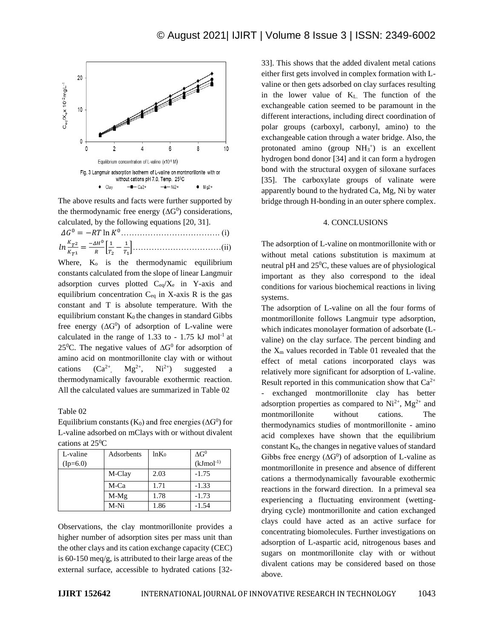

The above results and facts were further supported by the thermodynamic free energy  $(\Delta G^0)$  considerations, calculated, by the following equations [20, 31].

Where,  $K_0$  is the thermodynamic equilibrium constants calculated from the slope of linear Langmuir adsorption curves plotted  $C_{eq}/X_e$  in Y-axis and equilibrium concentration  $C_{eq}$  in X-axis R is the gas constant and T is absolute temperature. With the equilibrium constant  $K_0$  the changes in standard Gibbs free energy  $( \Delta G^0 )$  of adsorption of L-valine were calculated in the range of  $1.33$  to -  $1.75$  kJ mol<sup>-1</sup> at 25<sup>0</sup>C. The negative values of  $\Delta G^0$  for adsorption of amino acid on montmorillonite clay with or without cations  $(Ca^{2+})$  $Mg^{2+}$ ,  $Ni^{2+}$ ) ) suggested a thermodynamically favourable exothermic reaction. All the calculated values are summarized in Table 02

Table 02

Equilibrium constants ( $K_0$ ) and free energies ( $\Delta G^0$ ) for L-valine adsorbed on mClays with or without divalent cations at  $25^{\circ}$ C

| L-valine   | Adsorbents | $ln K_0$ | $\Delta G^0$ |
|------------|------------|----------|--------------|
| $(Ip=6.0)$ |            |          | $(kJmol-1)$  |
|            | M-Clay     | 2.03     | $-1.75$      |
|            | M-Ca       | 1.71     | $-1.33$      |
|            | $M-Mg$     | 1.78     | $-1.73$      |
|            | $M-Ni$     | 1.86     | $-1.54$      |

Observations, the clay montmorillonite provides a higher number of adsorption sites per mass unit than the other clays and its cation exchange capacity (CEC) is 60-150 meq/g, is attributed to their large areas of the external surface, accessible to hydrated cations [3233]. This shows that the added divalent metal cations either first gets involved in complex formation with Lvaline or then gets adsorbed on clay surfaces resulting in the lower value of KL. The function of the exchangeable cation seemed to be paramount in the different interactions, including direct coordination of polar groups (carboxyl, carbonyl, amino) to the exchangeable cation through a water bridge. Also, the protonated amino (group  $NH<sub>3</sub><sup>+</sup>$ ) is an excellent hydrogen bond donor [34] and it can form a hydrogen bond with the structural oxygen of siloxane surfaces [35]. The carboxylate groups of valinate were apparently bound to the hydrated Ca, Mg, Ni by water bridge through H-bonding in an outer sphere complex.

### 4. CONCLUSIONS

The adsorption of L-valine on montmorillonite with or without metal cations substitution is maximum at neutral pH and  $25^{\circ}$ C, these values are of physiological important as they also correspond to the ideal conditions for various biochemical reactions in living systems.

The adsorption of L-valine on all the four forms of montmorillonite follows Langmuir type adsorption, which indicates monolayer formation of adsorbate (Lvaline) on the clay surface. The percent binding and the  $X_m$  values recorded in Table 01 revealed that the effect of metal cations incorporated clays was relatively more significant for adsorption of L-valine. Result reported in this communication show that  $Ca^{2+}$ - exchanged montmorillonite clay has better adsorption properties as compared to  $Ni^{2+}$ ,  $Mg^{2+}$  and montmorillonite without cations. The thermodynamics studies of montmorillonite - amino acid complexes have shown that the equilibrium constant  $K_0$ , the changes in negative values of standard Gibbs free energy  $( \Delta G^0 )$  of adsorption of L-valine as montmorillonite in presence and absence of different cations a thermodynamically favourable exothermic reactions in the forward direction. In a primeval sea experiencing a fluctuating environment (wettingdrying cycle) montmorillonite and cation exchanged clays could have acted as an active surface for concentrating biomolecules. Further investigations on adsorption of L-aspartic acid, nitrogenous bases and sugars on montmorillonite clay with or without divalent cations may be considered based on those above.